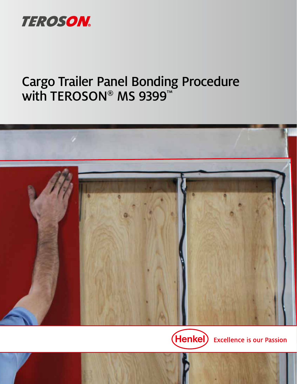

# Cargo Trailer Panel Bonding Procedure with TEROSON® MS 9399™



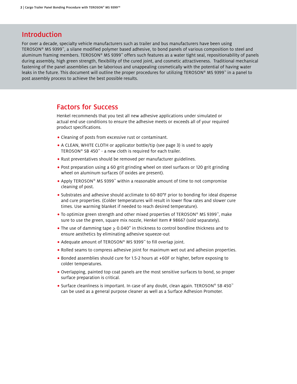### **Introduction**

For over a decade, specialty vehicle manufacturers such as trailer and bus manufacturers have been using TEROSON® MS 9399™, a silane modified polymer based adhesive, to bond panels of various composition to steel and aluminum framing members. TEROSON® MS 9399™ offers such features as a water tight seal, repositionability of panels during assembly, high green strength, flexibility of the cured joint, and cosmetic attractiveness. Traditional mechanical fastening of the panel assemblies can be laborious and unappealing cosmetically with the potential of having water leaks in the future. This document will outline the proper procedures for utilizing TEROSON® MS 9399™ in a panel to post assembly process to achieve the best possible results.

### Factors for Success

Henkel recommends that you test all new adhesive applications under simulated or actual end use conditions to ensure the adhesive meets or exceeds all of your required product specifications.

- **•** Cleaning of posts from excessive rust or contaminant.
- **•** A CLEAN, WHITE CLOTH or applicator bottle/tip (see page 3) is used to apply TEROSON® SB 450™ - a new cloth is required for each trailer.
- **•** Rust preventatives should be removed per manufacturer guidelines.
- **•** Post preparation using a 60 grit grinding wheel on steel surfaces or 120 grit grinding wheel on aluminum surfaces (if oxides are present).
- **•** Apply TEROSON® MS 9399™ within a reasonable amount of time to not compromise cleaning of post.
- **•** Substrates and adhesive should acclimate to 60-80°F prior to bonding for ideal dispense and cure properties. (Colder temperatures will result in lower flow rates and slower cure times. Use warming blanket if needed to reach desired temperature).
- **•** To optimize green strength and other mixed properties of TEROSON® MS 9399™, make sure to use the green, square mix nozzle, Henkel Item # 98667 (sold separately).
- **•** The use of damming tape ≥ 0.040" in thickness to control bondline thickness and to ensure aesthetics by eliminating adhesive squeeze-out
- **•** Adequate amount of TEROSON® MS 9399™ to fill overlap joint.
- **•** Rolled seams to compress adhesive joint for maximum wet out and adhesion properties.
- **•** Bonded assemblies should cure for 1.5-2 hours at +60F or higher, before exposing to colder temperatures.
- **•** Overlapping, painted top coat panels are the most sensitive surfaces to bond, so proper surface preparation is critical.
- **•** Surface cleanliness is important. In case of any doubt, clean again. TEROSON® SB 450™ can be used as a general purpose cleaner as well as a Surface Adhesion Promoter.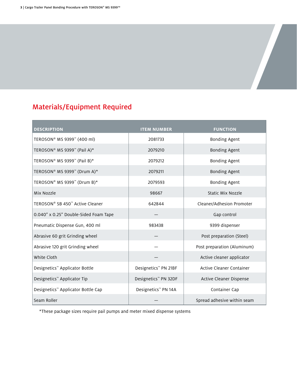### Materials/Equipment Required

| <b>DESCRIPTION</b>                         | <b>ITEM NUMBER</b>   | <b>FUNCTION</b>             |
|--------------------------------------------|----------------------|-----------------------------|
| TEROSON® MS 9399™ (400 ml)                 | 2081733              | <b>Bonding Agent</b>        |
| TEROSON® MS 9399™ (Pail A)*                | 2079210              | <b>Bonding Agent</b>        |
| TEROSON® MS 9399 <sup>™</sup> (Pail B)*    | 2079212              | <b>Bonding Agent</b>        |
| TEROSON® MS 9399™ (Drum A)*                | 2079211              | <b>Bonding Agent</b>        |
| TEROSON® MS 9399™ (Drum B)*                | 2079593              | <b>Bonding Agent</b>        |
| Mix Nozzle                                 | 98667                | Static Mix Nozzle           |
| TEROSON® SB 450™ Active Cleaner            | 642844               | Cleaner/Adhesion Promoter   |
| 0.040" x 0.25" Double-Sided Foam Tape      |                      | Gap control                 |
| Pneumatic Dispense Gun, 400 ml             | 983438               | 9399 dispenser              |
| Abrasive 60 grit Grinding wheel            |                      | Post preparation (Steel)    |
| Abrasive 120 grit Grinding wheel           |                      | Post preparation (Aluminum) |
| White Cloth                                |                      | Active cleaner applicator   |
| Designetics <sup>™</sup> Applicator Bottle | Designetics™ PN 21BF | Active Cleaner Container    |
| Designetics™ Applicator Tip                | Designetics™ PN 32DF | Active Cleaner Dispense     |
| Designetics™ Applicator Bottle Cap         | Designetics™ PN 14A  | Container Cap               |
| Seam Roller                                |                      | Spread adhesive within seam |

\*These package sizes require pail pumps and meter mixed dispense systems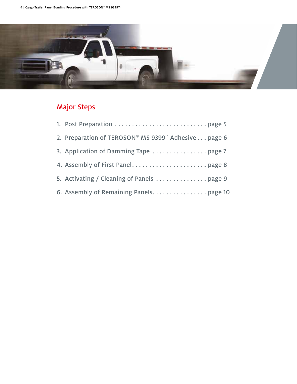

### Major Steps

| 2. Preparation of TEROSON® MS 9399™ Adhesive page 6 |
|-----------------------------------------------------|
| 3. Application of Damming Tape  page 7              |
|                                                     |
|                                                     |
|                                                     |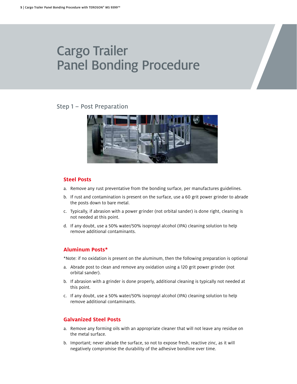#### <span id="page-4-0"></span>Step 1 – Post Preparation



#### **Steel Posts**

- a. Remove any rust preventative from the bonding surface, per manufactures guidelines.
- b. If rust and contamination is present on the surface, use a 60 grit power grinder to abrade the posts down to bare metal.
- c. Typically, if abrasion with a power grinder (not orbital sander) is done right, cleaning is not needed at this point.
- d. If any doubt, use a 50% water/50% isopropyl alcohol (IPA) cleaning solution to help remove additional contaminants.

#### **Aluminum Posts\***

\*Note: if no oxidation is present on the aluminum, then the following preparation is optional

- a. Abrade post to clean and remove any oxidation using a 120 grit power grinder (not orbital sander).
- b. If abrasion with a grinder is done properly, additional cleaning is typically not needed at this point.
- c. If any doubt, use a 50% water/50% isopropyl alcohol (IPA) cleaning solution to help remove additional contaminants.

#### **Galvanized Steel Posts**

- a. Remove any forming oils with an appropriate cleaner that will not leave any residue on the metal surface.
- b. Important; never abrade the surface, so not to expose fresh, reactive zinc, as it will negatively compromise the durability of the adhesive bondline over time.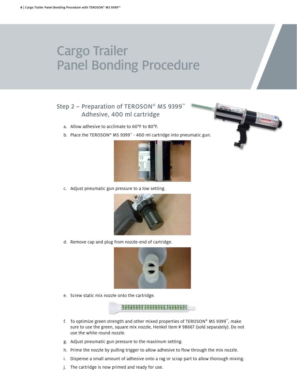### <span id="page-5-0"></span>Step 2 – Preparation of TEROSON® MS 9399" Adhesive, 400 ml cartridge

- a. Allow adhesive to acclimate to 60°F to 80°F.
- b. Place the TEROSON® MS 9399™ 400 ml cartridge into pneumatic gun.



c. Adjust pneumatic gun pressure to a low setting.



d. Remove cap and plug from nozzle-end of cartridge.



e. Screw static mix nozzle onto the cartridge.

**58585858 85658568 86868688** 

- f. To optimize green strength and other mixed properties of TEROSON® MS 9399™, make sure to use the green, square mix nozzle, Henkel Item # 98667 (sold separately). Do not use the white round nozzle.
- g. Adjust pneumatic gun pressure to the maximum setting.
- h. Prime the nozzle by pulling trigger to allow adhesive to flow through the mix nozzle.
- i. Dispense a small amount of adhesive onto a rag or scrap part to allow thorough mixing.
- j. The cartridge is now primed and ready for use.

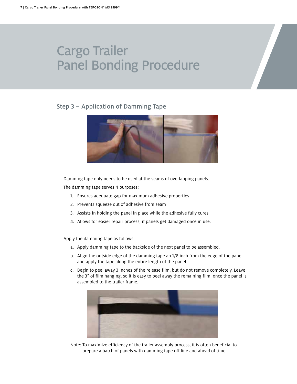### <span id="page-6-0"></span>Step 3 – Application of Damming Tape



Damming tape only needs to be used at the seams of overlapping panels.

The damming tape serves 4 purposes:

- 1. Ensures adequate gap for maximum adhesive properties
- 2. Prevents squeeze out of adhesive from seam
- 3. Assists in holding the panel in place while the adhesive fully cures
- 4. Allows for easier repair process, if panels get damaged once in use.

Apply the damming tape as follows:

- a. Apply damming tape to the backside of the next panel to be assembled.
- b. Align the outside edge of the damming tape an 1/8 inch from the edge of the panel and apply the tape along the entire length of the panel.
- c. Begin to peel away 3 inches of the release film, but do not remove completely. Leave the 3" of film hanging, so it is easy to peel away the remaining film, once the panel is assembled to the trailer frame.



Note: To maximize efficiency of the trailer assembly process, it is often beneficial to prepare a batch of panels with damming tape off line and ahead of time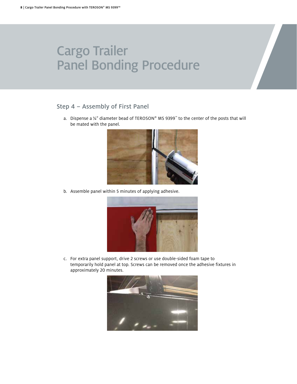### <span id="page-7-0"></span>Step 4 – Assembly of First Panel

a. Dispense a ¼" diameter bead of TEROSON® MS 9399™ to the center of the posts that will be mated with the panel.



b. Assemble panel within 5 minutes of applying adhesive.



c. For extra panel support, drive 2 screws or use double-sided foam tape to temporarily hold panel at top. Screws can be removed once the adhesive fixtures in approximately 20 minutes.

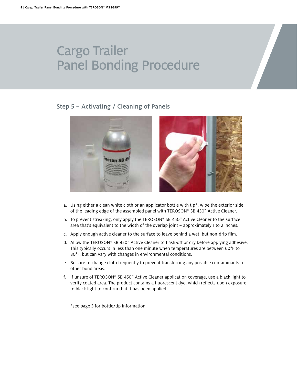### <span id="page-8-0"></span>Step 5 – Activating / Cleaning of Panels



- a. Using either a clean white cloth or an applicator bottle with tip\*, wipe the exterior side of the leading edge of the assembled panel with TEROSON® SB 450™ Active Cleaner.
- b. To prevent streaking, only apply the TEROSON® SB 450™ Active Cleaner to the surface area that's equivalent to the width of the overlap joint – approximately 1 to 2 inches.
- c. Apply enough active cleaner to the surface to leave behind a wet, but non-drip film.
- d. Allow the TEROSON® SB 450™ Active Cleaner to flash-off or dry before applying adhesive. This typically occurs in less than one minute when temperatures are between 60°F to 80°F, but can vary with changes in environmental conditions.
- e. Be sure to change cloth frequently to prevent transferring any possible contaminants to other bond areas.
- f. If unsure of TEROSON® SB 450™ Active Cleaner application coverage, use a black light to verify coated area. The product contains a fluorescent dye, which reflects upon exposure to black light to confirm that it has been applied.

\*see page 3 for bottle/tip information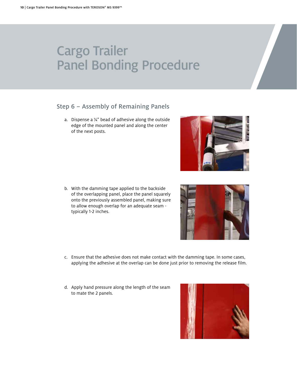#### <span id="page-9-0"></span>Step 6 – Assembly of Remaining Panels

a. Dispense a  $\frac{1}{4}$ " bead of adhesive along the outside edge of the mounted panel and along the center of the next posts.

b. With the damming tape applied to the backside of the overlapping panel, place the panel squarely onto the previously assembled panel, making sure to allow enough overlap for an adequate seam typically 1-2 inches.

- c. Ensure that the adhesive does not make contact with the damming tape. In some cases, applying the adhesive at the overlap can be done just prior to removing the release film.
- d. Apply hand pressure along the length of the seam to mate the 2 panels.





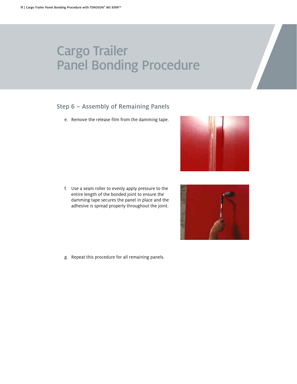### Step 6 – Assembly of Remaining Panels

e. Remove the release film from the damming tape.

f. Use a seam roller to evenly apply pressure to the entire length of the bonded joint to ensure the damming tape secures the panel in place and the adhesive is spread properly throughout the joint.

g. Repeat this procedure for all remaining panels.



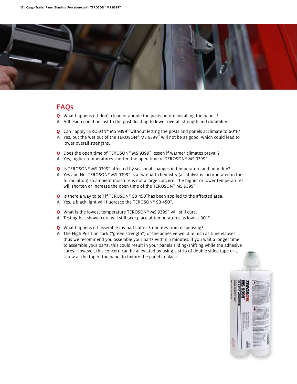

### FAQs

- **Q** What happens if I don't clean or abrade the posts before installing the panels?
- **A** Adhesion could be lost to the post, leading to lower overall strength and durability.
- **Q** Can I apply TEROSON® MS 9399™ without letting the posts and panels acclimate to 60°F?
- **A** Yes, but the wet out of the TEROSON® MS 9399™ will not be as good, which could lead to lower overall strengths.
- **Q** Does the open time of TEROSON® MS 9399™ lessen if warmer climates prevail?
- **A** Yes, higher temperatures shorten the open time of TEROSON® MS 9399™.
- **Q** Is TEROSON® MS 9399™ affected by seasonal changes in temperature and humidity?
- **A** Yes and No, TEROSON® MS 9399™ is a two-part chemistry (a catalyst is incorporated in the formulation) so ambient moisture is not a large concern. The higher or lower temperatures will shorten or increase the open time of the TEROSON® MS 9399<sup>™</sup>.
- **Q** Is there a way to tell if TEROSON® SB 450™has been applied to the affected area.
- **A** Yes, a black light will fluoresce the TEROSON® SB 450™.
- **Q** What is the lowest temperature TEROSON® MS 9399™ will still cure.
- **A** Testing has shown cure will still take place at temperatures as low as 30°F.
- **Q** What happens if I assemble my parts after 5 minutes from dispensing?
- **A** The High Position Tack ("green strength") of the adhesive will diminish as time elapses, thus we recommend you assemble your parts within 5 minutes. If you wait a longer time to assemble your parts, this could result in your panels sliding/shifting while the adhesive cures. However, this concern can be alleviated by using a strip of double sided tape or a screw at the top of the panel to fixture the panel in place.

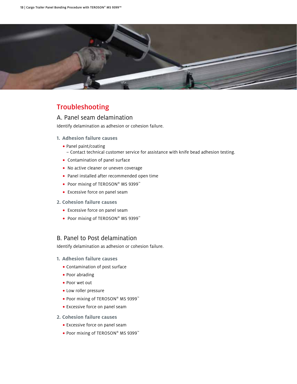

### Troubleshooting

#### A. Panel seam delamination

Identify delamination as adhesion or cohesion failure.

- **1. Adhesion failure causes**
	- **•** Panel paint/coating
		- Contact technical customer service for assistance with knife bead adhesion testing.
	- **•** Contamination of panel surface
	- **•** No active cleaner or uneven coverage
	- **•** Panel installed after recommended open time
	- **•** Poor mixing of TEROSON® MS 9399™
	- **•** Excessive force on panel seam
- **2. Cohesion failure causes**
	- **•** Excessive force on panel seam
	- **•** Poor mixing of TEROSON® MS 9399™

#### B. Panel to Post delamination

Identify delamination as adhesion or cohesion failure.

- **1. Adhesion failure causes**
	- **•** Contamination of post surface
	- **•** Poor abrading
	- **•** Poor wet out
	- **•** Low roller pressure
	- **•** Poor mixing of TEROSON® MS 9399™
	- **•** Excessive force on panel seam
- **2. Cohesion failure causes**
	- **•** Excessive force on panel seam
	- **•** Poor mixing of TEROSON® MS 9399™